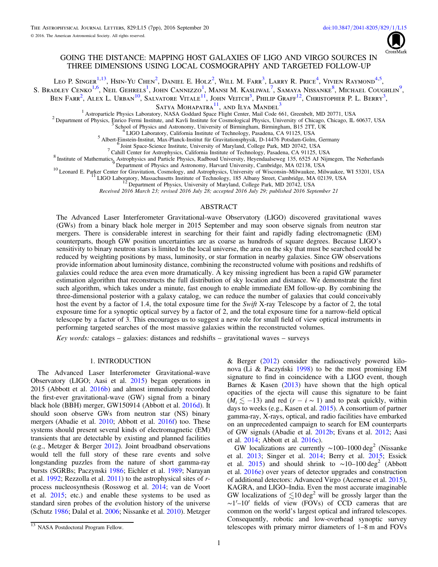

# GOING THE DISTANCE: MAPPING HOST GALAXIES OF LIGO AND VIRGO SOURCES IN THREE DIMENSIONS USING LOCAL COSMOGRAPHY AND TARGETED FOLLOW-UP

Leo P. Singer<sup>[1,](#page-0-0)[13](#page-0-1)</sup>, Hsin-Yu Chen<sup>[2](#page-0-2)</sup>, Daniel E. Holz<sup>2</sup>, Will M. Farr<sup>[3](#page-0-3)</sup>, Larry R. Price<sup>[4](#page-0-4)</sup>, Vivien Raymond<sup>[4,](#page-0-4)[5](#page-0-5)</sup>, S. Bradley Cenko<sup>[1,](#page-0-0)[6](#page-0-6)</sup>, Neil Gehrels<sup>[1](#page-0-0)</sup>, John Cannizzo<sup>1</sup>, Mansi M. Kasliwal<sup>[7](#page-0-7)</sup>, Samaya Nissanke<sup>[8](#page-0-8)</sup>, Michael Coughlin<sup>[9](#page-0-9)</sup>, Ben Farr<sup>[2](#page-0-2)</sup>, Alex L. Urban<sup>[10](#page-0-10)</sup>, Salvatore Vitale<sup>[11](#page-0-11)</sup>, John Veitch<sup>[3](#page-0-3)</sup>, Philip Graff<sup>[12](#page-0-12)</sup>, Christopher P. L. Berry<sup>3</sup>,

SATYA MOHAPATRA<sup>[11](#page-0-11)</sup>, AND ILYA MANDEL<sup>[3](#page-0-3)</sup><br><sup>1</sup> Astroparticle Physics Laboratory, NASA Goddard Space Flight Center, Mail Code 661, Greenbelt, MD 20771, USA

<span id="page-0-5"></span><span id="page-0-4"></span><span id="page-0-3"></span><span id="page-0-2"></span><span id="page-0-0"></span>Popartment of Physics, Enrico Fermi Institute, and Kavli Institute for Cosmological Physics, University of Chicago, Chicago, IL 60637, USA<br>
<sup>3</sup> School of Physics and Astronomy, University of Birmingham, Birmingham, B15 2T

<span id="page-0-9"></span><span id="page-0-8"></span><span id="page-0-7"></span><span id="page-0-6"></span>

<span id="page-0-12"></span><span id="page-0-11"></span><span id="page-0-10"></span>

Received 2016 March 23; revised 2016 July 28; accepted 2016 July 29; published 2016 September 21

### ABSTRACT

The Advanced Laser Interferometer Gravitational-wave Observatory (LIGO) discovered gravitational waves (GWs) from a binary black hole merger in 2015 September and may soon observe signals from neutron star mergers. There is considerable interest in searching for their faint and rapidly fading electromagnetic (EM) counterparts, though GW position uncertainties are as coarse as hundreds of square degrees. Because LIGO's sensitivity to binary neutron stars is limited to the local universe, the area on the sky that must be searched could be reduced by weighting positions by mass, luminosity, or star formation in nearby galaxies. Since GW observations provide information about luminosity distance, combining the reconstructed volume with positions and redshifts of galaxies could reduce the area even more dramatically. A key missing ingredient has been a rapid GW parameter estimation algorithm that reconstructs the full distribution of sky location and distance. We demonstrate the first such algorithm, which takes under a minute, fast enough to enable immediate EM follow-up. By combining the three-dimensional posterior with a galaxy catalog, we can reduce the number of galaxies that could conceivably host the event by a factor of 1.4, the total exposure time for the Swift X-ray Telescope by a factor of 2, the total exposure time for a synoptic optical survey by a factor of 2, and the total exposure time for a narrow-field optical telescope by a factor of 3. This encourages us to suggest a new role for small field of view optical instruments in performing targeted searches of the most massive galaxies within the reconstructed volumes.

Key words: catalogs – galaxies: distances and redshifts – gravitational waves – surveys

### 1. INTRODUCTION

The Advanced Laser Interferometer Gravitational-wave Observatory (LIGO; Aasi et al. [2015](#page-5-0)) began operations in 2015 (Abbott et al. [2016b](#page-5-1)) and almost immediately recorded the first-ever gravitational-wave (GW) signal from a binary black hole (BBH) merger, GW150914 (Abbott et al. [2016d](#page-5-2)). It should soon observe GWs from neutron star (NS) binary mergers (Abadie et al. [2010](#page-5-3); Abbott et al. [2016f](#page-5-4)) too. These systems should present several kinds of electromagnetic (EM) transients that are detectable by existing and planned facilities (e.g., Metzger & Berger [2012](#page-5-5)). Joint broadband observations would tell the full story of these rare events and solve longstanding puzzles from the nature of short gamma-ray bursts (SGRBs; Paczynski [1986;](#page-5-6) Eichler et al. [1989](#page-5-7); Narayan et al. [1992;](#page-5-8) Rezzolla et al. [2011](#page-5-9)) to the astrophysical sites of rprocess nucleosynthesis (Rosswog et al. [2014](#page-5-10); van de Voort et al. [2015](#page-6-0); etc.) and enable these systems to be used as standard siren probes of the evolution history of the universe (Schutz [1986;](#page-5-11) Dalal et al. [2006;](#page-5-12) Nissanke et al. [2010](#page-5-13)). Metzger

& Berger  $(2012)$  $(2012)$  $(2012)$  consider the radioactively powered kilonova (Li & Paczyński [1998](#page-5-14)) to be the most promising EM signature to find in coincidence with a LIGO event, though Barnes  $\&$  Kasen ([2013](#page-5-15)) have shown that the high optical opacities of the ejecta will cause this signature to be faint  $(M_i \le -13)$  and red  $(r - i \sim 1)$  and to peak quickly, within days to weeks (e.g., Kasen et al. [2015](#page-5-16)). A consortium of partner gamma-ray, X-rays, optical, and radio facilities have embarked on an unprecedented campaign to search for EM counterparts of GW signals (Abadie et al. [2012b;](#page-5-17) Evans et al. [2012](#page-5-18); Aasi et al. [2014](#page-5-19); Abbott et al. [2016c](#page-5-20)).

GW localizations are currently  $\sim$ 100–1000 deg<sup>2</sup> (Nissanke et al. [2013](#page-5-21); Singer et al. [2014;](#page-5-22) Berry et al. [2015](#page-5-23); Essick et al. [2015](#page-5-24)) and should shrink to ~10–100 deg<sup>2</sup> (Abbott et al. [2016e](#page-5-25)) over years of detector upgrades and construction of additional detectors: Advanced Virgo (Acernese et al. [2015](#page-5-26)), KAGRA, and LIGO–India. Even the most accurate imaginable GW localizations of  $\leq 10 \text{ deg}^2$  will be grossly larger than the ∼1′–10′ fields of view (FOVs) of CCD cameras that are common on the world's largest optical and infrared telescopes. Consequently, robotic and low-overhead synoptic survey telescopes with primary mirror diameters of 1–8 m and FOVs

<span id="page-0-1"></span><sup>&</sup>lt;sup>13</sup> NASA Postdoctoral Program Fellow.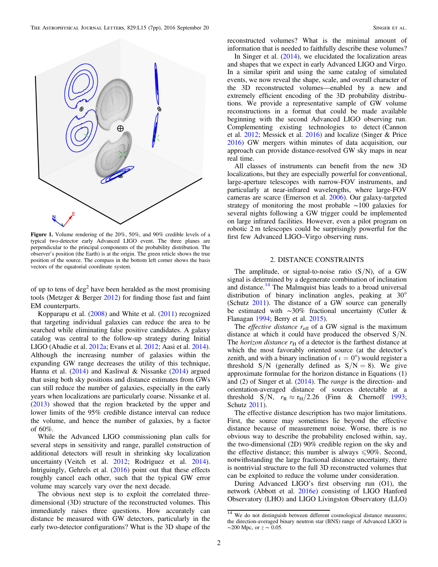<span id="page-1-1"></span>

Figure 1. Volume rendering of the 20%, 50%, and 90% credible levels of a typical two-detector early Advanced LIGO event. The three planes are perpendicular to the principal components of the probability distribution. The observer's position (the Earth) is at the origin. The green reticle shows the true position of the source. The compass in the bottom left corner shows the basis vectors of the equatorial coordinate system.

of up to tens of  $\text{deg}^2$  have been heralded as the most promising tools (Metzger & Berger [2012](#page-5-5)) for finding those fast and faint EM counterparts.

Kopparapu et al. ([2008](#page-5-27)) and White et al. ([2011](#page-6-1)) recognized that targeting individual galaxies can reduce the area to be searched while eliminating false positive candidates. A galaxy catalog was central to the follow-up strategy during Initial LIGO (Abadie et al. [2012a;](#page-5-28) Evans et al. [2012](#page-5-18); Aasi et al. [2014](#page-5-19)). Although the increasing number of galaxies within the expanding GW range decreases the utility of this technique, Hanna et al. ([2014](#page-5-29)) and Kasliwal & Nissanke ([2014](#page-5-30)) argued that using both sky positions and distance estimates from GWs can still reduce the number of galaxies, especially in the early years when localizations are particularly coarse. Nissanke et al. ([2013](#page-5-21)) showed that the region bracketed by the upper and lower limits of the 95% credible distance interval can reduce the volume, and hence the number of galaxies, by a factor of 60%.

While the Advanced LIGO commissioning plan calls for several steps in sensitivity and range, parallel construction of additional detectors will result in shrinking sky localization uncertainty (Veitch et al. [2012](#page-6-2); Rodriguez et al. [2014](#page-5-31)). Intriguingly, Gehrels et al. ([2016](#page-5-32)) point out that these effects roughly cancel each other, such that the typical GW error volume may scarcely vary over the next decade.

The obvious next step is to exploit the correlated threedimensional (3D) structure of the reconstructed volumes. This immediately raises three questions. How accurately can distance be measured with GW detectors, particularly in the early two-detector configurations? What is the 3D shape of the

reconstructed volumes? What is the minimal amount of information that is needed to faithfully describe these volumes?

In Singer et al. ([2014](#page-5-22)), we elucidated the localization areas and shapes that we expect in early Advanced LIGO and Virgo. In a similar spirit and using the same catalog of simulated events, we now reveal the shape, scale, and overall character of the 3D reconstructed volumes—enabled by a new and extremely efficient encoding of the 3D probability distributions. We provide a representative sample of GW volume reconstructions in a format that could be made available beginning with the second Advanced LIGO observing run. Complementing existing technologies to detect (Cannon et al. [2012](#page-5-33); Messick et al. [2016](#page-5-34)) and localize (Singer & Price [2016](#page-5-35)) GW mergers within minutes of data acquisition, our approach can provide distance-resolved GW sky maps in near real time.

All classes of instruments can benefit from the new 3D localizations, but they are especially powerful for conventional, large-aperture telescopes with narrow-FOV instruments, and particularly at near-infrared wavelengths, where large-FOV cameras are scarce (Emerson et al. [2006](#page-5-36)). Our galaxy-targeted strategy of monitoring the most probable ∼100 galaxies for several nights following a GW trigger could be implemented on large infrared facilities. However, even a pilot program on robotic 2 m telescopes could be surprisingly powerful for the first few Advanced LIGO–Virgo observing runs.

# 2. DISTANCE CONSTRAINTS

The amplitude, or signal-to-noise ratio  $(S/N)$ , of a GW signal is determined by a degenerate combination of inclination and distance.<sup>[14](#page-1-0)</sup> The Malmquist bias leads to a broad universal distribution of binary inclination angles, peaking at 30° (Schutz [2011](#page-5-37)). The distance of a GW source can generally be estimated with ∼30% fractional uncertainty (Cutler & Flanagan [1994](#page-5-38); Berry et al. [2015](#page-5-23)).

The *effective distance*  $r_{\text{eff}}$  of a GW signal is the maximum distance at which it could have produced the observed S/N. The *horizon distance*  $r<sub>H</sub>$  of a detector is the farthest distance at which the most favorably oriented source (at the detector's zenith, and with a binary inclination of  $\iota = 0^{\circ}$ ) would register a threshold S/N (generally defined as  $S/N = 8$ ). We give approximate formulae for the horizon distance in Equations (1) and (2) of Singer et al. ([2014](#page-5-22)). The range is the direction- and orientation-averaged distance of sources detectable at a threshold S/N,  $r_R \approx r_H/2.26$  (Finn & Chernoff [1993](#page-5-39); Schutz [2011](#page-5-37)).

The effective distance description has two major limitations. First, the source may sometimes lie beyond the effective distance because of measurement noise. Worse, there is no obvious way to describe the probability enclosed within, say, the two-dimensional (2D) 90% credible region on the sky and the effective distance; this number is always  $\leq 90\%$ . Second, notwithstanding the large fractional distance uncertainty, there is nontrivial structure to the full 3D reconstructed volumes that can be exploited to reduce the volume under consideration.

During Advanced LIGO's first observing run (O1), the network (Abbott et al. [2016e](#page-5-25)) consisting of LIGO Hanford Observatory (LHO) and LIGO Livingston Observatory (LLO)

<span id="page-1-0"></span><sup>&</sup>lt;sup>14</sup> We do not distinguish between different cosmological distance measures; the direction-averaged binary neutron star (BNS) range of Advanced LIGO is  $\sim$ 200 Mpc, or  $z \sim 0.05$ .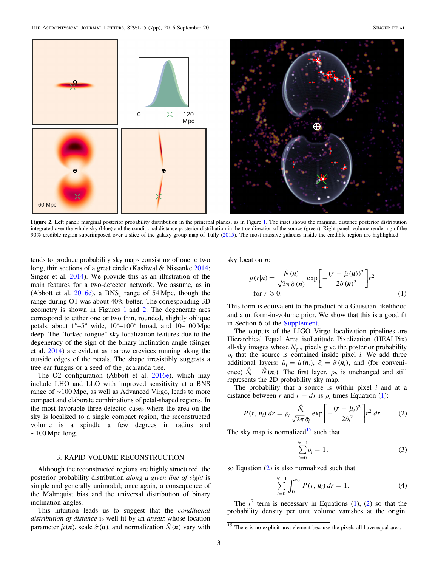<span id="page-2-0"></span>

Figure 2. Left panel: marginal posterior probability distribution in the principal planes, as in Figure [1.](#page-1-1) The inset shows the marginal distance posterior distribution integrated over the whole sky (blue) and the conditional distance posterior distribution in the true direction of the source (green). Right panel: volume rendering of the 90% credible region superimposed over a slice of the galaxy group map of Tully ([2015](#page-6-3)). The most massive galaxies inside the credible region are highlighted.

tends to produce probability sky maps consisting of one to two long, thin sections of a great circle (Kasliwal & Nissanke [2014](#page-5-30); Singer et al. [2014](#page-5-22)). We provide this as an illustration of the main features for a two-detector network. We assume, as in (Abbott et al. [2016e](#page-5-25)), a BNS¸ range of 54 Mpc, though the range during O1 was about 40% better. The corresponding 3D geometry is shown in Figures [1](#page-1-1) and [2](#page-2-0). The degenerate arcs correspond to either one or two thin, rounded, slightly oblique petals, about  $1^{\circ}-5^{\circ}$  wide,  $10^{\circ}-100^{\circ}$  broad, and  $10-100$  Mpc deep. The "forked tongue" sky localization features due to the degeneracy of the sign of the binary inclination angle (Singer et al. [2014](#page-5-22)) are evident as narrow crevices running along the outside edges of the petals. The shape irresistibly suggests a tree ear fungus or a seed of the jacaranda tree.

The O2 configuration (Abbott et al. [2016e](#page-5-25)), which may include LHO and LLO with improved sensitivity at a BNS range of ∼100 Mpc, as well as Advanced Virgo, leads to more compact and elaborate combinations of petal-shaped regions. In the most favorable three-detector cases where the area on the sky is localized to a single compact region, the reconstructed volume is a spindle a few degrees in radius and  $~100$  Mpc long.

### 3. RAPID VOLUME RECONSTRUCTION

Although the reconstructed regions are highly structured, the posterior probability distribution along a given line of sight is simple and generally unimodal; once again, a consequence of the Malmquist bias and the universal distribution of binary inclination angles.

This intuition leads us to suggest that the *conditional* distribution of distance is well fit by an ansatz whose location parameter  $\hat{\mu}$  (*n*), scale  $\hat{\sigma}$  (*n*), and normalization  $\hat{N}$  (*n*) vary with

<span id="page-2-1"></span>sky location *n*:

$$
p(r|\boldsymbol{n}) = \frac{\hat{N}(\boldsymbol{n})}{\sqrt{2\pi}\,\hat{\sigma}(\boldsymbol{n})} \exp\left[-\frac{(r-\hat{\mu}(\boldsymbol{n}))^2}{2\hat{\sigma}(\boldsymbol{n})^2}\right] r^2
$$
  
for  $r \ge 0$ . (1)

This form is equivalent to the product of a Gaussian likelihood and a uniform-in-volume prior. We show that this is a good fit in Section 6 of the [Supplement](#page-5-40).

The outputs of the LIGO–Virgo localization pipelines are Hierarchical Equal Area isoLatitude Pixelization (HEALPix) all-sky images whose  $N_{\text{pix}}$  pixels give the posterior probability  $\rho_i$  that the source is contained inside pixel i. We add three additional layers:  $\hat{\mu}_i = \hat{\mu}(\mathbf{n}_i)$ ,  $\hat{\sigma}_i = \hat{\sigma}(\mathbf{n}_i)$ , and (for convenience)  $\hat{N}_i = \hat{N}(\mathbf{n}_i)$ . The first layer,  $\rho_i$ , is unchanged and still represents the 2D probability sky map.

<span id="page-2-3"></span>The probability that a source is within pixel  $i$  and at a distance between r and  $r + dr$  is  $\rho_i$  times Equation ([1](#page-2-1)):

$$
P(r, n_i) dr = \rho_i \frac{\hat{N}_i}{\sqrt{2\pi} \hat{\sigma}_i} \exp\left[-\frac{(r - \hat{\mu}_i)^2}{2\hat{\sigma}_i^2}\right] r^2 dr. \tag{2}
$$

The sky map is normalized<sup>[15](#page-2-2)</sup> such that

$$
\sum_{i=0}^{N-1} \rho_i = 1,\tag{3}
$$

so Equation ([2](#page-2-3)) is also normalized such that

$$
\sum_{i=0}^{N-1} \int_0^{\infty} P(r, n_i) dr = 1.
$$
 (4)

The  $r^2$  $r^2$  term is necessary in Equations ([1](#page-2-1)), (2) so that the probability density per unit volume vanishes at the origin.

<span id="page-2-2"></span><sup>&</sup>lt;sup>15</sup> There is no explicit area element because the pixels all have equal area.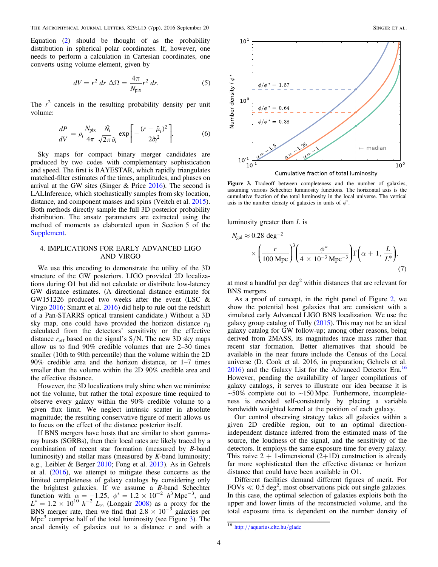The Astrophysical Journal Letters, 829:L15 (7pp), 2016 September 20 Singer et al.

Equation ([2](#page-2-3)) should be thought of as the probability distribution in spherical polar coordinates. If, however, one needs to perform a calculation in Cartesian coordinates, one converts using volume element, given by

$$
dV = r^2 dr \Delta\Omega = \frac{4\pi}{N_{\text{pix}}} r^2 dr.
$$
 (5)

The  $r^2$  cancels in the resulting probability density per unit volume:

$$
\frac{dP}{dV} = \rho_i \frac{N_{\text{pix}}}{4\pi} \frac{\hat{N}_i}{\sqrt{2\pi} \hat{\sigma}_i} \exp\left[-\frac{(r-\hat{\mu}_i)^2}{2\hat{\sigma}_i^2}\right].
$$
 (6)

Sky maps for compact binary merger candidates are produced by two codes with complementary sophistication and speed. The first is BAYESTAR, which rapidly triangulates matched-filter estimates of the times, amplitudes, and phases on arrival at the GW sites (Singer & Price [2016](#page-5-35)). The second is LALInference, which stochastically samples from sky location, distance, and component masses and spins (Veitch et al. [2015](#page-6-4)). Both methods directly sample the full 3D posterior probability distribution. The ansatz parameters are extracted using the method of moments as elaborated upon in Section 5 of the [Supplement](#page-5-40).

# 4. IMPLICATIONS FOR EARLY ADVANCED LIGO AND VIRGO

We use this encoding to demonstrate the utility of the 3D structure of the GW posteriors. LIGO provided 2D localizations during O1 but did not calculate or distribute low-latency GW distance estimates. (A directional distance estimate for GW151226 produced two weeks after the event (LSC & Virgo [2016;](#page-5-41) Smartt et al. [2016](#page-5-42)) did help to rule out the redshift of a Pan-STARRS optical transient candidate.) Without a 3D sky map, one could have provided the horizon distance  $r<sub>H</sub>$ calculated from the detectors' sensitivity or the effective distance  $r_{\text{eff}}$  based on the signal's S/N. The new 3D sky maps allow us to find 90% credible volumes that are 2–30 times smaller (10th to 90th percentile) than the volume within the 2D 90% credible area and the horizon distance, or 1–7 times smaller than the volume within the 2D 90% credible area and the effective distance.

However, the 3D localizations truly shine when we minimize not the volume, but rather the total exposure time required to observe every galaxy within the 90% credible volume to a given flux limit. We neglect intrinsic scatter in absolute magnitude; the resulting conservative figure of merit allows us to focus on the effect of the distance posterior itself.

If BNS mergers have hosts that are similar to short gammaray bursts (SGRBs), then their local rates are likely traced by a combination of recent star formation (measured by B-band luminosity) and stellar mass (measured by K-band luminosity; e.g., Leibler & Berger [2010;](#page-5-43) Fong et al. [2013](#page-5-44)). As in Gehrels et al. ([2016](#page-5-32)), we attempt to mitigate these concerns as the limited completeness of galaxy catalogs by considering only the brightest galaxies. If we assume a B-band Schechter function with  $\alpha = -1.25$ ,  $\phi^* = 1.2 \times 10^{-2}$   $h^3$  Mpc<sup>-3</sup>, and  $L^* = 1.2 \times 10^{10}$   $h^{-2}$   $L_{\odot}$  (Longair [2008](#page-5-45)) as a proxy for the BNS merger rate, then we find that  $2.8 \times 10^{-3}$  galaxies per Mpc<sup>[3](#page-3-0)</sup> comprise half of the total luminosity (see Figure  $3$ ). The areal density of galaxies out to a distance  $r$  and with a

<span id="page-3-0"></span>

Figure 3. Tradeoff between completeness and the number of galaxies, assuming various Schechter luminosity functions. The horizontal axis is the cumulative fraction of the total luminosity in the local universe. The vertical axis is the number density of galaxies in units of  $\phi^*$ .

luminosity greater than  $L$  is

$$
N_{\rm gal} \approx 0.28 \text{ deg}^{-2}
$$
  
 
$$
\times \left(\frac{r}{100 \text{ Mpc}}\right)^3 \left(\frac{\phi^*}{4 \times 10^{-3} \text{ Mpc}^{-3}}\right) \Gamma\left(\alpha + 1, \frac{L}{L^*}\right),\tag{7}
$$

at most a handful per  $\deg^2$  within distances that are relevant for BNS mergers.

As a proof of concept, in the right panel of Figure [2,](#page-2-0) we show the potential host galaxies that are consistent with a simulated early Advanced LIGO BNS localization. We use the galaxy group catalog of Tully ([2015](#page-6-3)). This may not be an ideal galaxy catalog for GW follow-up; among other reasons, being derived from 2MASS, its magnitudes trace mass rather than recent star formation. Better alternatives that should be available in the near future include the Census of the Local universe (D. Cook et al. 2016, in preparation; Gehrels et al. [2016](#page-5-32)) and the Galaxy List for the Advanced Detector Era.<sup>[16](#page-3-1)</sup> However, pending the availability of larger compilations of galaxy catalogs, it serves to illustrate our idea because it is ∼50% complete out to ∼150 Mpc. Furthermore, incompleteness is encoded self-consistently by placing a variable bandwidth weighted kernel at the position of each galaxy.

Our control observing strategy takes all galaxies within a given 2D credible region, out to an optimal directionindependent distance inferred from the estimated mass of the source, the loudness of the signal, and the sensitivity of the detectors. It employs the same exposure time for every galaxy. This naive  $2 + 1$ -dimensional  $(2+1D)$  construction is already far more sophisticated than the effective distance or horizon distance that could have been available in O1.

Different facilities demand different figures of merit. For FOVs  $\ll 0.5$  deg<sup>2</sup>, most observations pick out single galaxies. In this case, the optimal selection of galaxies exploits both the upper and lower limits of the reconstructed volume, and the total exposure time is dependent on the number density of

<span id="page-3-1"></span><sup>16</sup> http://[aquarius.elte.hu](http://aquarius.elte.hu/glade)/glade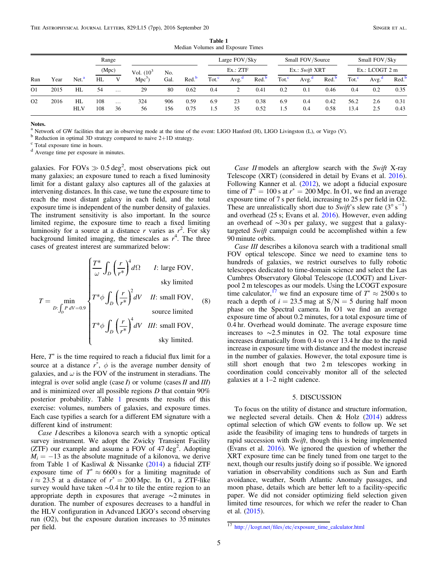<span id="page-4-0"></span>

| Run            | Year | Net. <sup>a</sup> | Range<br>(Mpc) |                |               |            |                   | Large FOV/Sky<br>Ex.: ZTF |                  |                   | Small FOV/Source<br>Ex.: Swift XRT |                   |                  | Small FOV/Sky<br>$Ex.:$ LCOGT $2m$ |                  |                   |
|----------------|------|-------------------|----------------|----------------|---------------|------------|-------------------|---------------------------|------------------|-------------------|------------------------------------|-------------------|------------------|------------------------------------|------------------|-------------------|
|                |      |                   |                |                | Vol. $(10^3)$ | No.        |                   |                           |                  |                   |                                    |                   |                  |                                    |                  |                   |
|                |      |                   | HL             | V              | $Mpc^3$       | Gal.       | Red. <sup>b</sup> | Tot. <sup>c</sup>         | Avg <sup>d</sup> | Red. <sup>b</sup> | Tot. <sup>c</sup>                  | Avg. <sup>d</sup> | Red <sup>b</sup> | Tot. <sup>c</sup>                  | Avg <sup>d</sup> | Red. <sup>b</sup> |
| O <sub>1</sub> | 2015 | HL                | 54             | $\cdots$       | 29            | 80         | 0.62              | 0.4                       |                  | 0.41              | 0.2                                | 0.1               | 0.46             | 0.4                                | 0.2              | 0.35              |
| O <sub>2</sub> | 2016 | HL<br><b>HLV</b>  | 108<br>108     | $\cdots$<br>36 | 324<br>56     | 906<br>156 | 0.59<br>0.75      | 6.9<br>1.5                | 23<br>35         | 0.38<br>0.52      | 6.9<br>1.5                         | 0.4<br>0.4        | 0.42<br>0.58     | 56.2<br>13.4                       | 2.6<br>2.5       | 0.31<br>0.43      |

Table 1 Median Volumes and Exposure Times

<sup>a</sup> Network of GW facilities that are in observing mode at the time of the event: LIGO Hanford (H), LIGO Livingston (L), or Virgo (V).<br><sup>b</sup> Reduction in optimal 3D strategy compared to naive 2+1D strategy.<br><sup>c</sup> Total exposu

 $d^c$  Total exposure time in hours.<br> $d^d$  Average time per exposure in minutes.

galaxies. For FOVs  $\gg 0.5 \text{ deg}^2$ , most observations pick out many galaxies; an exposure tuned to reach a fixed luminosity limit for a distant galaxy also captures all of the galaxies at intervening distances. In this case, we tune the exposure time to reach the most distant galaxy in each field, and the total exposure time is independent of the number density of galaxies. The instrument sensitivity is also important. In the source limited regime, the exposure time to reach a fixed limiting luminosity for a source at a distance r varies as  $r^2$ . For sky background limited imaging, the timescales as  $r<sup>4</sup>$ . The three cases of greatest interest are summarized below:

$$
T = \min_{D:\int_{D} P dV = 0.9} \begin{cases} \frac{T^*}{\omega} \int_{D} \left(\frac{r}{r^*}\right)^4 d\Omega & I: \text{ large FOV,} \\ T^* \phi \int_{D} \left(\frac{r}{r^*}\right)^2 dV & II: \text{ small FOV,} \\ \text{source limited} \\ T^* \phi \int_{D} \left(\frac{r}{r^*}\right)^4 dV & III: \text{ small FOV,} \\ \text{sky limited.} \end{cases}
$$
 (8)

Here,  $T^*$  is the time required to reach a fiducial flux limit for a source at a distance  $r^*$ ,  $\phi$  is the average number density of galaxies, and  $\omega$  is the FOV of the instrument in steradians. The integral is over solid angle (case  $I$ ) or volume (cases  $II$  and  $III$ ) and is minimized over all possible regions D that contain 90% posterior probability. Table [1](#page-4-0) presents the results of this exercise: volumes, numbers of galaxies, and exposure times. Each case typifies a search for a different EM signature with a different kind of instrument:

Case I describes a kilonova search with a synoptic optical survey instrument. We adopt the Zwicky Transient Facility  $(ZTF)$  our example and assume a FOV of 47 deg<sup>2</sup>. Adopting  $M_i = -13$  as the absolute magnitude of a kilonova, we derive from Table 1 of Kasliwal & Nissanke ([2014](#page-5-30)) a fiducial ZTF exposure time of  $T^* \approx 6600 \text{ s}$  for a limiting magnitude of  $i \approx 23.5$  at a distance of  $r^* = 200$  Mpc. In O1, a ZTF-like survey would have taken ∼0.4 hr to tile the entire region to an appropriate depth in exposures that average ∼2 minutes in duration. The number of exposures decreases to a handful in the HLV configuration in Advanced LIGO's second observing run (O2), but the exposure duration increases to 35 minutes per field.

Case II models an afterglow search with the Swift X-ray Telescope (XRT) (considered in detail by Evans et al. [2016](#page-5-46)). Following Kanner et al. ([2012](#page-5-47)), we adopt a fiducial exposure time of  $T^* = 100$  s at  $r^* = 200$  Mpc. In O1, we find an average exposure time of 7 s per field, increasing to 25 s per field in O2. These are unrealistically short due to Swift's slew rate  $(3^\circ s^{-1})$ and overhead (25 s; Evans et al. [2016](#page-5-46)). However, even adding an overhead of ∼30 s per galaxy, we suggest that a galaxytargeted Swift campaign could be accomplished within a few 90 minute orbits.

Case III describes a kilonova search with a traditional small FOV optical telescope. Since we need to examine tens to hundreds of galaxies, we restrict ourselves to fully robotic telescopes dedicated to time-domain science and select the Las Cumbres Observatory Global Telescope (LCOGT) and Liverpool 2 m telescopes as our models. Using the LCOGT exposure time calculator,<sup>[17](#page-4-1)</sup> we find an exposure time of  $T^* \approx 2500$  s to reach a depth of  $i = 23.5$  mag at  $S/N = 5$  during half moon phase on the Spectral camera. In O1 we find an average exposure time of about 0.2 minutes, for a total exposure time of 0.4 hr. Overhead would dominate. The average exposure time increases to ∼2.5 minutes in O2. The total exposure time increases dramatically from 0.4 to over 13.4 hr due to the rapid increase in exposure time with distance and the modest increase in the number of galaxies. However, the total exposure time is still short enough that two 2 m telescopes working in coordination could conceivably monitor all of the selected galaxies at a 1–2 night cadence.

### 5. DISCUSSION

To focus on the utility of distance and structure information, we neglected several details. Chen & Holz  $(2014)$  $(2014)$  $(2014)$  address optimal selection of which GW events to follow up. We set aside the feasibility of imaging tens to hundreds of targets in rapid succession with Swift, though this is being implemented (Evans et al. [2016](#page-5-46)). We ignored the question of whether the XRT exposure time can be finely tuned from one target to the next, though our results justify doing so if possible. We ignored variation in observability conditions such as Sun and Earth avoidance, weather, South Atlantic Anomaly passages, and moon phase, details which are better left to a facility-specific paper. We did not consider optimizing field selection given limited time resources, for which we refer the reader to Chan et al. ([2015](#page-5-49)).

<span id="page-4-1"></span><sup>17</sup> http://lcogt.net/files/etc/[exposure\\_time\\_calculator.html](http://lcogt.net/files/etc/exposure_time_calculator.html)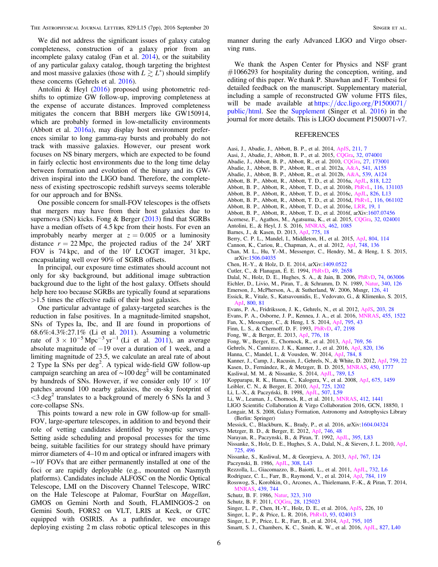We did not address the significant issues of galaxy catalog completeness, construction of a galaxy prior from an incomplete galaxy catalog (Fan et al. [2014](#page-5-50)), or the suitability of any particular galaxy catalog, though targeting the brightest and most massive galaxies (those with  $L \gtrsim L^*$ ) should simplify these concerns (Gehrels et al. [2016](#page-5-32)).

Antolini & Heyl ([2016](#page-5-51)) proposed using photometric redshifts to optimize GW follow-up, improving completeness at the expense of accurate distances. Improved completeness mitigates the concern that BBH mergers like GW150914, which are probably formed in low-metallicity environments (Abbott et al. [2016a](#page-5-52)), may display host environment preferences similar to long gamma-ray bursts and probably do not track with massive galaxies. However, our present work focuses on NS binary mergers, which are expected to be found in fairly eclectic host environments due to the long time delay between formation and evolution of the binary and its GWdriven inspiral into the LIGO band. Therefore, the completeness of existing spectroscopic redshift surveys seems tolerable for our approach and for BNSs.

One possible concern for small-FOV telescopes is the offsets that mergers may have from their host galaxies due to supernova (SN) kicks. Fong & Berger ([2013](#page-5-53)) find that SGRBs have a median offsets of 4.5 kpc from their hosts. For even an improbably nearby merger at  $z = 0.005$  or a luminosity distance  $r = 22$  Mpc, the projected radius of the 24' XRT FOV is 74 kpc, and of the 10′ LCOGT imager, 31 kpc, encapsulating well over 90% of SGRB offsets.

In principal, our exposure time estimates should account not only for sky background, but additional image subtraction background due to the light of the host galaxy. Offsets should help here too because SGRBs are typically found at separations >1.5 times the effective radii of their host galaxies.

One particular advantage of galaxy-targeted searches is the reduction in false positives. In a magnitude-limited snapshot, SNs of Types Ia, Ibc, and II are found in proportions of 68.6%:4.3%:27.1% (Li et al. [2011](#page-5-54)). Assuming a volumetric rate of  $3 \times 10^{-5}$  Mpc<sup>-3</sup> yr<sup>-1</sup> (Li et al. [2011](#page-5-54)), an average absolute magnitude of −19 over a duration of 1 week, and a limiting magnitude of 23.5, we calculate an areal rate of about 2 Type Ia SNs per deg<sup>2</sup>. A typical wide-field GW follow-up campaign searching an area of  $\sim$ 100 deg<sup>2</sup> will be contaminated by hundreds of SNs. However, if we consider only  $10' \times 10'$ patches around 100 nearby galaxies, the on-sky footprint of  $\langle$ 3 deg<sup>2</sup> translates to a background of merely 6 SNs Ia and 3 core-collapse SNs.

This points toward a new role in GW follow-up for small-FOV, large-aperture telescopes, in addition to and beyond their role of vetting candidates identified by synoptic surveys. Setting aside scheduling and proposal processes for the time being, suitable facilities for our strategy should have primary mirror diameters of 4–10 m and optical or infrared imagers with ∼10′ FOVs that are either permanently installed at one of the foci or are rapidly deployable (e.g., mounted on Nasmyth platforms). Candidates include ALFOSC on the Nordic Optical Telescope, LMI on the Discovery Channel Telescope, WIRC on the Hale Telescope at Palomar, FourStar on Magellan, GMOS on Gemini North and South, FLAMINGOS-2 on Gemini South, FORS2 on VLT, LRIS at Keck, or GTC equipped with OSIRIS. As a pathfinder, we encourage deploying existing 2 m class robotic optical telescopes in this

manner during the early Advanced LIGO and Virgo observing runs.

We thank the Aspen Center for Physics and NSF grant  $#1066293$  for hospitality during the conception, writing, and editing of this paper. We thank P. Shawhan and F. Tombesi for detailed feedback on the manuscript. Supplementary material, including a sample of reconstructed GW volume FITS files, will be made available at https://[dcc.ligo.org](https://dcc.ligo.org/P1500071/public/html)/P1500071/ [public](https://dcc.ligo.org/P1500071/public/html)/html. See the [Supplement](#page-5-40) (Singer et al. [2016](#page-5-40)) in the journal for more details. This is LIGO document P1500071-v7.

### REFERENCES

- <span id="page-5-19"></span>Aasi, J., Abadie, J., Abbott, B. P., et al. 2014, [ApJS,](http://dx.doi.org/10.1088/0067-0049/211/1/7) [211, 7](http://adsabs.harvard.edu/abs/2014ApJS..211....7A)
- <span id="page-5-0"></span>Aasi, J., Abadie, J., Abbott, B. P., et al. 2015, [CQGra,](http://dx.doi.org/10.1088/0264-9381/32/11/115012) [32, 074001](http://adsabs.harvard.edu/abs/2015CQGra..32g4001L)
- <span id="page-5-3"></span>Abadie, J., Abbott, B. P., Abbott, R., et al. 2010, [CQGra](http://dx.doi.org/10.1088/0264-9381/27/17/173001), [27, 173001](http://adsabs.harvard.edu/abs/2010CQGra..27q3001A)
- <span id="page-5-28"></span>Abadie, J., Abbott, B. P., Abbott, R., et al. 2012a, [A&A,](http://dx.doi.org/10.1051/0004-6361/201218860) [541, A155](http://adsabs.harvard.edu/abs/2012A&A...541A.155A)
- <span id="page-5-52"></span><span id="page-5-17"></span>Abadie, J., Abbott, B. P., Abbott, R., et al. 2012b, [A&A](http://dx.doi.org/10.1051/0004-6361/201118219), [539, A124](http://adsabs.harvard.edu/abs/2012A&A...539A.124A) Abbott, B. P., Abbott, R., Abbott, T. D., et al. 2016a, [ApJL,](http://dx.doi.org/10.3847/2041-8205/818/2/L22) [818, L22](http://adsabs.harvard.edu/abs/2016ApJ...818L..22A)
- <span id="page-5-1"></span>Abbott, B. P., Abbott, R., Abbott, T. D., et al. 2016b, [PhRvL](http://dx.doi.org/10.1103/PhysRevLett.116.131103), [116, 131103](http://adsabs.harvard.edu/abs/2016PhRvL.116m1103A)
- <span id="page-5-20"></span>Abbott, B. P., Abbott, R., Abbott, T. D., et al. 2016c, [ApJL,](http://dx.doi.org/10.3847/2041-8205/826/1/L13) [826, L13](http://adsabs.harvard.edu/abs/2016ApJ...826L..13A)
- <span id="page-5-2"></span>Abbott, B. P., Abbott, R., Abbott, T. D., et al. 2016d, [PhRvL](http://dx.doi.org/10.1103/PhysRevLett.116.061102), [116, 061102](http://adsabs.harvard.edu/abs/2016PhRvL.116f1102A)
- <span id="page-5-25"></span>Abbott, B. P., Abbott, R., Abbott, T. D., et al. 2016e, [LRR,](http://dx.doi.org/10.1007/lrr-2016-1) [19, 1](http://adsabs.harvard.edu/abs/2016LRR....19....1A)
- <span id="page-5-4"></span>Abbott, B. P., Abbott, R., Abbott, T. D., et al. 2016f, arXiv[:1607.07456](http://arxiv.org/abs/1607.07456)
- <span id="page-5-26"></span>Acernese, F., Agathos, M., Agatsuma, K., et al. 2015, [CQGra,](http://dx.doi.org/10.1088/0264-9381/32/2/024001) [32, 024001](http://adsabs.harvard.edu/abs/2015CQGra..32b4001A)
- <span id="page-5-51"></span>Antolini, E., & Heyl, J. S. 2016, [MNRAS,](http://dx.doi.org/10.1093/mnras/stw1720) [462, 1085](http://adsabs.harvard.edu/abs/2016MNRAS.462.1085A)
- <span id="page-5-15"></span>Barnes, J., & Kasen, D. 2013, [ApJ](http://dx.doi.org/10.1088/0004-637X/775/1/18), [775, 18](http://adsabs.harvard.edu/abs/2013ApJ...775...18B)
- <span id="page-5-23"></span>Berry, C. P. L., Mandel, I., Middleton, H., et al. 2015, [ApJ,](http://dx.doi.org/10.1088/0004-637X/804/2/114) [804, 114](http://adsabs.harvard.edu/abs/2015ApJ...804..114B)
- <span id="page-5-33"></span>Cannon, K., Cariou, R., Chapman, A., et al. 2012, [ApJ](http://dx.doi.org/10.1088/0004-637X/748/2/136), [748, 136](http://adsabs.harvard.edu/abs/2012ApJ...748..136C)
- <span id="page-5-49"></span>Chan, M. L., Hu, Y.-M., Messenger, C., Hendry, M., & Heng, I. S. 2015, arXiv:[1506.04035](http://arxiv.org/abs/1506.04035)
- <span id="page-5-48"></span>Chen, H.-Y., & Holz, D. E. 2014, arXiv[:1409.0522](http://arxiv.org/abs/1409.0522)
- <span id="page-5-38"></span>Cutler, C., & Flanagan, É. E. 1994, [PhRvD,](http://dx.doi.org/10.1103/PhysRevD.49.2658) [49, 2658](http://adsabs.harvard.edu/abs/1994PhRvD..49.2658C)
- <span id="page-5-12"></span>Dalal, N., Holz, D. E., Hughes, S. A., & Jain, B. 2006, [PhRvD](http://dx.doi.org/10.1103/PhysRevD.74.063006), [74, 063006](http://adsabs.harvard.edu/abs/2006PhRvD..74f3006D)
- <span id="page-5-7"></span>Eichler, D., Livio, M., Piran, T., & Schramm, D. N. 1989, [Natur,](http://dx.doi.org/10.1038/340126a0) [340, 126](http://adsabs.harvard.edu/abs/1989Natur.340..126E)
- <span id="page-5-36"></span>Emerson, J., McPherson, A., & Sutherland, W. 2006, Msngr, [126, 41](http://adsabs.harvard.edu/abs/2006Msngr.126...41E)
- <span id="page-5-24"></span>Essick, R., Vitale, S., Katsavounidis, E., Vedovato, G., & Klimenko, S. 2015, [ApJ,](http://dx.doi.org/10.1088/0004-637X/800/2/81) [800, 81](http://adsabs.harvard.edu/abs/2015ApJ...800...81E)
- <span id="page-5-18"></span>Evans, P. A., Fridriksson, J. K., Gehrels, N., et al. 2012, [ApJS,](http://dx.doi.org/10.1088/0067-0049/203/2/28) [203, 28](http://adsabs.harvard.edu/abs/2012ApJS..203...28E)
- <span id="page-5-46"></span>Evans, P. A., Osborne, J. P., Kennea, J. A., et al. 2016, [MNRAS,](http://dx.doi.org/10.1093/mnras/stv2213) [455, 1522](http://adsabs.harvard.edu/abs/2016MNRAS.455.1522E)
- <span id="page-5-50"></span>Fan, X., Messenger, C., & Heng, I. S. 2014, [ApJ,](http://dx.doi.org/10.1088/0004-637X/795/1/43) [795, 43](http://adsabs.harvard.edu/abs/2014ApJ...795...43F)
- <span id="page-5-39"></span>Finn, L. S., & Chernoff, D. F. 1993, [PhRvD,](http://dx.doi.org/10.1103/PhysRevD.47.2198) [47, 2198](http://adsabs.harvard.edu/abs/1993PhRvD..47.2198F)
- <span id="page-5-53"></span>Fong, W., & Berger, E. 2013, [ApJ,](http://dx.doi.org/10.1088/0004-637X/776/1/18) [776, 18](http://adsabs.harvard.edu/abs/2013ApJ...776...18F)
- <span id="page-5-44"></span>Fong, W., Berger, E., Chornock, R., et al. 2013, [ApJ](http://dx.doi.org/10.1088/0004-637X/769/1/56), [769, 56](http://adsabs.harvard.edu/abs/2013ApJ...769...56F)
- <span id="page-5-32"></span>Gehrels, N., Cannizzo, J. K., Kanner, J., et al. 2016, [ApJ,](http://dx.doi.org/10.3847/0004-637X/820/2/136) [820, 136](http://adsabs.harvard.edu/abs/2016ApJ...820..136G)
- <span id="page-5-29"></span>Hanna, C., Mandel, I., & Vousden, W. 2014, [ApJ](http://dx.doi.org/10.1088/0004-637X/784/1/8), [784, 8](http://adsabs.harvard.edu/abs/2014ApJ...784....8H)
- <span id="page-5-47"></span>Kanner, J., Camp, J., Racusin, J., Gehrels, N., & White, D. 2012, [ApJ,](http://dx.doi.org/10.1088/0004-637X/759/1/22) [759, 22](http://adsabs.harvard.edu/abs/2012ApJ...759...22K)
- <span id="page-5-16"></span>Kasen, D., Fernández, R., & Metzger, B. D. 2015, [MNRAS](http://dx.doi.org/10.1093/mnras/stv721), [450, 1777](http://adsabs.harvard.edu/abs/2015MNRAS.450.1777K)
- <span id="page-5-30"></span>Kasliwal, M. M., & Nissanke, S. 2014, [ApJL,](http://dx.doi.org/10.1088/2041-8205/789/1/L5) [789, L5](http://adsabs.harvard.edu/abs/2014ApJ...789L...5K)
- <span id="page-5-27"></span>Kopparapu, R. K., Hanna, C., Kalogera, V., et al. 2008, [ApJ](http://dx.doi.org/10.1086/527348), [675, 1459](http://adsabs.harvard.edu/abs/2008ApJ...675.1459K)
- <span id="page-5-43"></span>Leibler, C. N., & Berger, E. 2010, [ApJ](http://dx.doi.org/10.1088/0004-637X/725/1/1202), [725, 1202](http://adsabs.harvard.edu/abs/2010ApJ...725.1202L)
- <span id="page-5-14"></span>Li, L.-X., & Paczyński, B. 1998, [ApJL,](http://dx.doi.org/10.1086/311680) [507, L59](http://adsabs.harvard.edu/abs/1998ApJ...507L..59L)
- <span id="page-5-54"></span>Li, W., Leaman, J., Chornock, R., et al. 2011, [MNRAS,](http://dx.doi.org/10.1111/j.1365-2966.2011.18160.x) [412, 1441](http://adsabs.harvard.edu/abs/2011MNRAS.412.1441L)
- <span id="page-5-41"></span>LIGO Scientific Collaboration & Virgo Collaboration 2016, GCN, 18850, 1
- <span id="page-5-45"></span>Longair, M. S. 2008, Galaxy Formation, Astronomy and Astrophysics Library (Berlin: Springer)
- <span id="page-5-34"></span>Messick, C., Blackburn, K., Brady, P., et al. 2016, arXiv[:1604.04324](http://arxiv.org/abs/1604.04324)
- <span id="page-5-5"></span>Metzger, B. D., & Berger, E. 2012, [ApJ,](http://dx.doi.org/10.1088/0004-637X/746/1/48) [746, 48](http://adsabs.harvard.edu/abs/2012ApJ...746...48M)
- <span id="page-5-8"></span>Narayan, R., Paczynski, B., & Piran, T. 1992, [ApJL,](http://dx.doi.org/10.1086/186493) [395, L83](http://adsabs.harvard.edu/abs/1992ApJ...395L..83N)
- <span id="page-5-13"></span>Nissanke, S., Holz, D. E., Hughes, S. A., Dalal, N., & Sievers, J. L. 2010, [ApJ](http://dx.doi.org/10.1088/0004-637X/725/1/496)[,](http://adsabs.harvard.edu/abs/2010ApJ...725..496N) [725, 496](http://adsabs.harvard.edu/abs/2010ApJ...725..496N)
- <span id="page-5-21"></span>Nissanke, S., Kasliwal, M., & Georgieva, A. 2013, [ApJ,](http://dx.doi.org/10.1088/0004-637X/767/2/124) [767, 124](http://adsabs.harvard.edu/abs/2013ApJ...767..124N)
- <span id="page-5-6"></span>Paczynski, B. 1986, [ApJL,](http://dx.doi.org/10.1086/184740) [308, L43](http://adsabs.harvard.edu/abs/1986ApJ...308L..43P)
- <span id="page-5-9"></span>Rezzolla, L., Giacomazzo, B., Baiotti, L., et al. 2011, [ApJL,](http://dx.doi.org/10.1088/2041-8205/732/1/L6) [732, L6](http://adsabs.harvard.edu/abs/2011ApJ...732L...6R)
- <span id="page-5-31"></span>Rodriguez, C. L., Farr, B., Raymond, V., et al. 2014, [ApJ](http://dx.doi.org/10.1088/0004-637X/784/2/119), [784, 119](http://adsabs.harvard.edu/abs/2014ApJ...784..119R)
- <span id="page-5-10"></span>Rosswog, S., Korobkin, O., Arcones, A., Thielemann, F.-K., & Piran, T. 2014, [MNRAS](http://dx.doi.org/10.1093/mnras/stt2502), [439, 744](http://adsabs.harvard.edu/abs/2014MNRAS.439..744R)
- <span id="page-5-11"></span>Schutz, B. F. 1986, [Natur,](http://dx.doi.org/10.1038/323310a0) [323, 310](http://adsabs.harvard.edu/abs/1986Natur.323..310S)
- <span id="page-5-37"></span>Schutz, B. F. 2011, [CQGra](http://dx.doi.org/10.1088/0264-9381/28/12/125023), [28, 125023](http://adsabs.harvard.edu/abs/2011CQGra..28l5023S)
- <span id="page-5-40"></span>Singer, L. P., Chen, H.-Y., Holz, D. E., et al. 2016, [ApJS,](http://dx.doi.org/10.3847/0067-0049/226/1/10) 226, 10
- <span id="page-5-35"></span>Singer, L. P., & Price, L. R. 2016, [PhRvD,](http://dx.doi.org/10.1103/PhysRevD.93.024013) [93, 024013](http://adsabs.harvard.edu/abs/2016PhRvD..93b4013S)
- <span id="page-5-22"></span>Singer, L. P., Price, L. R., Farr, B., et al. 2014, [ApJ](http://dx.doi.org/10.1088/0004-637X/795/2/105), [795, 105](http://adsabs.harvard.edu/abs/2014ApJ...795..105S)
- <span id="page-5-42"></span>Smartt, S. J., Chambers, K. C., Smith, K. W., et al. 2016, [ApJL](http://dx.doi.org/10.3847/2041-8205/827/2/L40), [827, L40](http://adsabs.harvard.edu/abs/2016ApJ...827L..40S)